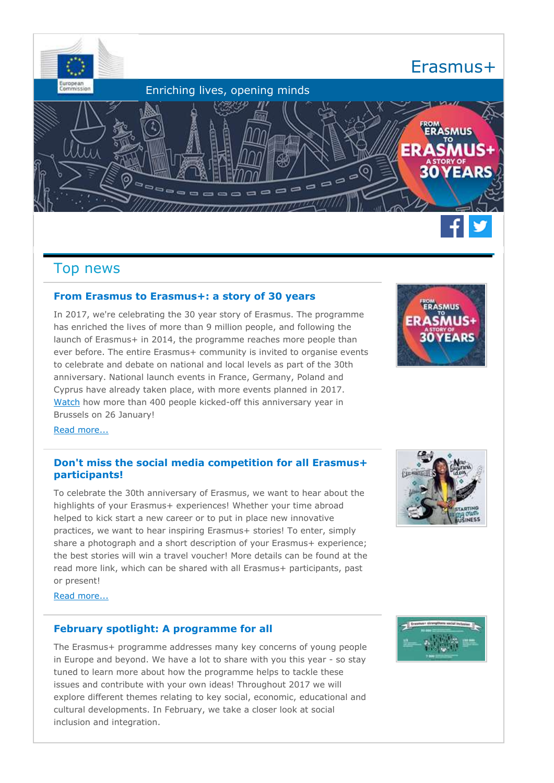

# Top news

# **From Erasmus to Erasmus+: a story of 30 years**

In 2017, we're celebrating the 30 year story of Erasmus. The programme has enriched the lives of more than 9 million people, and following the launch of Erasmus+ in 2014, the programme reaches more people than ever before. The entire Erasmus+ community is invited to organise events to celebrate and debate on national and local levels as part of the 30th anniversary. National launch events in France, Germany, Poland and Cyprus have already taken place, with more events planned in 2017. [Watch](https://ec.europa.eu/programmes/erasmus-plus/content/european-launch-event_en) how more than 400 people kicked-off this anniversary year in Brussels on 26 January!



[Read more...](http://ec.europa.eu/newsroom/eac/redirection.cfm?item_id=53991&newsletter=250&lang=default) 

# **Don't miss the social media competition for all Erasmus+ participants!**

To celebrate the 30th anniversary of Erasmus, we want to hear about the highlights of your Erasmus+ experiences! Whether your time abroad helped to kick start a new career or to put in place new innovative practices, we want to hear inspiring Erasmus+ stories! To enter, simply share a photograph and a short description of your Erasmus+ experience; the best stories will win a travel voucher! More details can be found at the read more link, which can be shared with all Erasmus+ participants, past or present!



[Read more...](http://ec.europa.eu/newsroom/eac/redirection.cfm?item_id=53996&newsletter=250&lang=default) 

# **February spotlight: A programme for all**

The Erasmus+ programme addresses many key concerns of young people in Europe and beyond. We have a lot to share with you this year - so stay tuned to learn more about how the programme helps to tackle these issues and contribute with your own ideas! Throughout 2017 we will explore different themes relating to key social, economic, educational and cultural developments. In February, we take a closer look at social inclusion and integration.

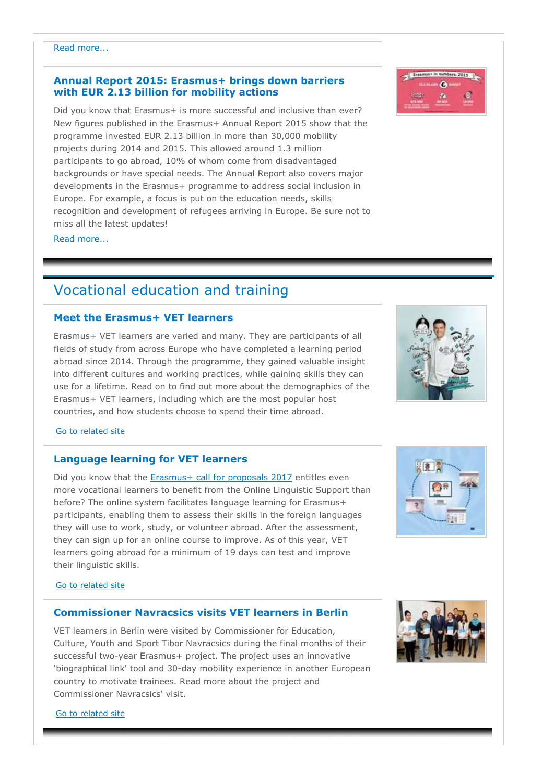# **Annual Report 2015: Erasmus+ brings down barriers with EUR 2.13 billion for mobility actions**

Did you know that Erasmus+ is more successful and inclusive than ever? New figures published in the Erasmus+ Annual Report 2015 show that the programme invested EUR 2.13 billion in more than 30,000 mobility projects during 2014 and 2015. This allowed around 1.3 million participants to go abroad, 10% of whom come from disadvantaged backgrounds or have special needs. The Annual Report also covers major developments in the Erasmus+ programme to address social inclusion in Europe. For example, a focus is put on the education needs, skills recognition and development of refugees arriving in Europe. Be sure not to miss all the latest updates!

Read more...

# Vocational education and training

# **Meet the Erasmus+ VET learners**

Erasmus+ VET learners are varied and many. They are participants of all fields of study from across Europe who have completed a learning period abroad since 2014. Through the programme, they gained valuable insight into different cultures and working practices, while gaining skills they can use for a lifetime. Read on to find out more about the demographics of the Erasmus+ VET learners, including which are the most popular host countries, and how students choose to spend their time abroad.

#### [Go to related site](https://ec.europa.eu/education/20170215-meet-vocational-learners_en)

# **Language learning for VET learners**

Did you know that the [Erasmus+ call for proposals 2017](https://ec.europa.eu/programmes/erasmus-plus/calls-for-proposals-tenders/2016-eac-a03_en) entitles even more vocational learners to benefit from the Online Linguistic Support than before? The online system facilitates language learning for Erasmus+ participants, enabling them to assess their skills in the foreign languages they will use to work, study, or volunteer abroad. After the assessment, they can sign up for an online course to improve. As of this year, VET learners going abroad for a minimum of 19 days can test and improve their linguistic skills.

#### [Go to related site](http://erasmusplusols.eu/)

# **Commissioner Navracsics visits VET learners in Berlin**

VET learners in Berlin were visited by Commissioner for Education, Culture, Youth and Sport Tibor Navracsics during the final months of their successful two-year Erasmus+ project. The project uses an innovative 'biographical link' tool and 30-day mobility experience in another European country to motivate trainees. Read more about the project and Commissioner Navracsics' visit.

[Go to related site](https://ec.europa.eu/education/news/20170215-commissioner-navracsics-visits-vet-learners-berlin_en)